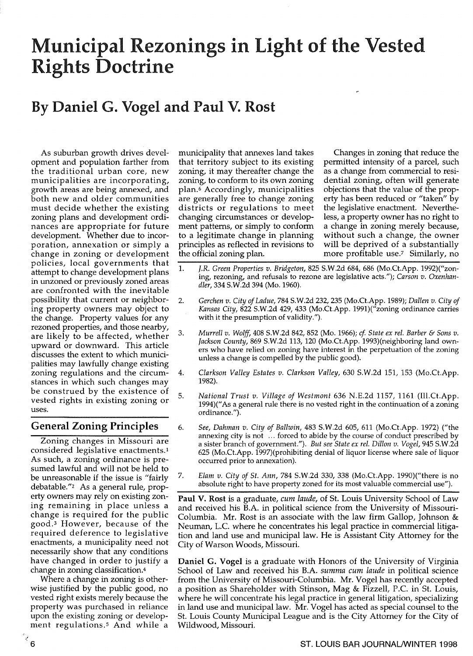# Municipal Rezonings in Light of the Vested Rights Doctrine

## By Daniel G. Vogel and Paul V. Rost

As suburban growth drives development and population farther from the traditional urban core, new municipalities are incorporating, growth areas are being annexed, and both new and older communities must decide whether the existing zoning plans and development ordinances are appropriate for future development. Whether due to incorporation, annexation or simply a change in zoning or development policies, local governments that attempt to change development plans in unzoned or previously zoned areas are confronted with the inevitable possibility that current or neighboring property owners may object to the change. Property values for any rezoned properties, and those nearby, are likely to be affected, whether upward or downward. This article discusses the extent to which municipalities may lawfully change existing zoning regulations and the circumstances in which such changes may be construed by the existence of vested rights in existing zoning or uses.

### General Zoning Principles

Zoning changes in Missouri are considered legislative enactments.! As such, a zoning ordinance is presumed lawful and will not be held to be unreasonable if the issue is "fairly debatable."2 As a general rule, property owners may rely on existing zoning remaining in place unless a change is required for the public good.<sup>3</sup> However, because of the required deference to legislative enactments, a municipality need not necessarily show that any conditions have changed in order to justify a change in zoning classification.4

Where a change in zoning is otherwise justified by the public good, no vested right exists merely because the property was purchased in reliance upon the existing zoning or development regulations.<sup>5</sup> And while a municipality that annexes land takes Changes in zoning that reduce the that territory subject to its existing permitted intensity of a parcel, such zoning, it may thereafter change the as a change from commercial to resizoning, to conform to its own zoning dential zoning, often will generate plan. <sup>6</sup>Accordingly, municipalities objections that the value of the propare generally free to change zoning erty has been reduced or "taken" by districts or regulations to meet the legislative enactment. Neverthedistricts or regulations to meet changing circumstances or develop- less, a property owner has no right to ment patterns, or simply to conform a change in zoning merely because, to a legitimate change in planning without such a change, the owner principles as reflected in revisions to will be deprived of a substantially the official zoning plan. more profitable use.<sup>7</sup> Similarly, no

- 1. J.R. *Green Properties v. Bridgeton,* 825 S.w.2d 684, 686 (Mo.Ct.App. 1992)("zoning, rezoning, and refusals to rezone are legislative acts."); *Carson v. Oxenhandler,* 334 S.w.2d 394 (Mo. 1960).
- *2. Gerchen v. City of Ladue,* 784 S.W.2d 232, 235 (Mo.Ct.App. 1989); *Dallen v. City of Kansas City,* 822 S.W.2d 429, 433 (Mo.Ct.App. 1991)("zoning ordinance carries with it the presumption of validity.").
- *3. Murrell v. Wolff,* 408 S.W.2d 842, 852 (Mo. 1966); *cf State ex rei. Barber* & *Sons v. Jackson County,* 869 S.W.2d 113, 120 (Mo.Ct.App. 1993)(neighboring land owners who have relied on zoning have interest in the perpetuation of the zoning unless a change is compelled by the public good).
- *4. Clarkson Valley Estates v. Clarkson Valley,* 630 S.W.2d 151, 153 (Mo.Ct.App. 1982).
- *5. National Trust v. Village of Westmont* 636 N.E.2d 1157, 1161 (Ill.Ct.App. 1994)(" As a general rule there is no vested right in the continuation of a zoning ordinance.").
- *6. See, Dahman v. City of Ballwin,* 483 S.W.2d 605, 611 (Mo.Ct.App. 1972) ("the annexing city is not ... forced to abide by the course of conduct prescribed by a sister branch of government."). *But see State ex rei. Dillon v. Vogel,* 945 S.W.2d 625 (Mo.Ct.App. 1997)(prohibiting denial of liquor license where sale of liquor occurred prior to annexation).
- *7. Elam v. City of St. Ann,* 784 S.W.2d 330, 338 (Mo.Ct.App. 1990)("there is no absolute right to have property zoned for its most valuable commercial use").

Paul V. Rost is a graduate, *cum laude,* of st. Louis University School of Law and received his B.A. in political science from the University of Missouri-Columbia. Mr. Rost is an associate with the law firm Gallop, Johnson  $\&$ Neuman, L.C. where he concentrates his legal practice in commercial litigation and land use and municipal law. He is Assistant City Attorney for the City of Warson Woods, Missouri.

Daniel G. Vogel is a graduate with Honors of the University of Virginia School of Law and received his B.A. *summa cum laude* in political science from the University of Missouri-Columbia. Mr. Vogel has recently accepted a position as Shareholder with Stinson, Mag & Fizzell, P.c. in St. Louis, where he will concentrate his legal practice in general litigation, specializing in land use and municipal law. Mr. Vogel has acted as special counsel to the st. Louis County Municipal League and is the City Attorney for the City of Wildwood, Missouri.

.<br>ج 6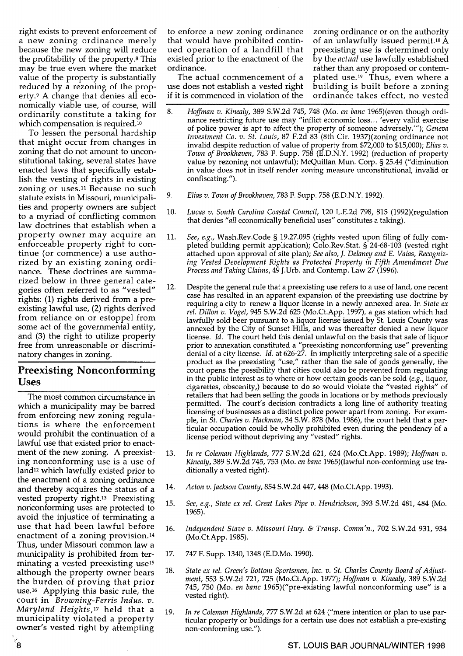right exists to prevent enforcement of a new zoning ordinance merely because the new zoning will reduce the profitability of the property.8 This may be true even where the market value of the property is substantially reduced by a rezoning of the property.9 A change that denies all economically viable use, of course, will ordinarily constitute a taking for which compensation is required.<sup>10</sup>

To lessen the personal hardship that might occur from changes in zoning that do not amount to unconstitutional taking, several states have enacted laws that specifically establish the vesting of rights in existing zoning or uses.<sup>11</sup> Because no such statute exists in Missouri, municipalities and property owners are subject to a myriad of conflicting common law doctrines that establish when a property owner may acquire an enforceable property right to continue (or commence) a use authorized by an existing zoning ordinance. These doctrines are summarized below in three general categories often referred to as "vested" rights: (1) rights derived from a preexisting lawful use, (2) rights derived from reliance on or estoppel from some act of the governmental entity, and (3) the right to utilize property free from unreasonable or discriminatory changes in zoning.

#### Preexisting Nonconforming Uses

The most common circumstance in which a municipality may be barred from enforcing new zoning regulations is where the enforcement would prohibit the continuation of a lawful use that existed prior to enactment of the new zoning. A preexisting nonconforming use is a use of land<sup>12</sup> which lawfully existed prior to the enactment of a zoning ordinance and thereby acquires the status of a vested property right.<sup>13</sup> Preexisting nonconforming uses are protected to avoid the injustice of terminating a use that had been lawful before enactment of a zoning provision. <sup>14</sup> Thus, under Missouri common law a municipality is prohibited from terminating a vested preexisting use<sup>15</sup> although the property owner bears the burden of proving that prior use.16 Applying this basic rule, the court in *Browning-Ferris Indus. v. Maryland Heights,17* held that a municipality violated a property owner's vested right by attempting

to enforce a new zoning ordinance that would have prohibited continued operation of a landfill that existed prior to the enactment of the ordinance.

The actual commencement of a use does not establish a vested right if it is commenced in violation of the zoning ordinance or on the authority of an unlawfully issued permit.18 A preexisting use is determined only by the *actual* use lawfully established rather than any proposed or contemplated use.<sup>19</sup> Thus, even where a building is built before a zoning ordinance takes effect, no vested

- *8. Hoffman v. Kinealy,* 389 S.W.2d 745, 748 (Mo. *en banc* 1965)(even though ordinance restricting future use may "inflict economic loss ... 'every valid exercise of police power is apt to affect the property of someone adversely."'); *Geneva Investment Co. v. St. Louis,* 87 F.2d 83 (8th Cir. 1937)(zoning ordinance not invalid despite reduction of value of property from \$72,000 to \$15,000); *Elias v. Town of Brookhaven,* 783 F. Supp. 758 (E.D.N.Y. 1992) (reduction of property value by rezoning not unlawful); McQuillan Mun. Corp. § 25.44 ("diminution in value does not in itself render zoning measure unconstitutional, invalid or confiscating. ").
- 9. *Elias v. Town of Brookhaven,* 783 F. Supp. 758 (ED.N.Y. 1992).
- 10. *Lucas v. South Carolina Coastal Council,* 120 L.E.2d 798, 815 (1992)(regulation that denies *"all* economically beneficial uses" constitutes a taking).
- 11. *See, e.g.,* Wash.Rev.Code § 19.27.095 (rights vested upon filing of fully completed building permit application); Colo.Rev.Stat. § 24-68-103 (vested right attached upon approval of site plan); *See also,* f. *Delaney and* E. *Vaias, Recognizing Vested Development Rights as Protected Property* in *Fifth Amendment Due Process and Taking Claims,* 49 J.Urb. and Contemp. Law 27 (1996).
- 12. Despite the general rule that a preexisting use refers to a use of land, one recent case has resulted in an apparent expansion of the preexisting use doctrine by requiring a city to renew a liquor license in a newly annexed area. In *State ex rei. Dillon v. Vogel,* 945 S.w.2d 625 (Mo.Ct.App. 1997), a gas station which had lawfully sold beer pursuant to a liquor license issued by St. Louis County was annexed by the City of Sunset Hills, and was thereafter denied a new liquor license. *Id.* The court held this denial unlawful on the basis that sale of liquor prior to annexation constituted a "preexisting nonconforming use" preventing denial of a city license. *Id.* at 626-27. In implicitly interpreting sale of a specific product as the preexisting "use," rather than the sale of goods generally, the court opens the possibility that cities could also be prevented from regulating in the public interest as to where or how certain goods can be sold *(e.g.,* liquor, cigarettes, obscenity,) because to do so would violate the "vested rights" of retailers that had been selling the goods in locations or by methods previously permitted. The court's decision contradicts a long line of authority treating licensing of businesses as a distinct police power apart from zoning. For example, in *St. Charles v. Hackman,* 34 S.W. 878 (Mo. 1986), the court held that a particular occupation could be wholly prohibited even during the pendency of a license period without depriving any "vested" rights.
- *13. In re Coleman Highlands,* 777 S.W.2d 621, 624 (Mo.Ct.App. 1989); *Hoffman v. Kinealy,* 389 S.W.2d 745, 753 (Mo. *en banc* 1965)(lawful non-conforming use traditionally a vested right).
- *14. Acton v. Jackson County,* 854 S.W.2d 447, 448 (Mo.Ct.App. 1993).
- *15. See, e.g., State ex rei. Great Lakes Pipe v. Hendrickson,* 393 S.W.2d 481, 484 (Mo. 1965).
- *16. Independent Stave v. Missouri Hwy.* & *Transp. Comm'n.,* 702 S.W.2d 931, 934 (Mo.Ct.App. 1985).
- 17. 747 F. Supp. 1340, 1348 (E.D.Mo. 1990).
- *18. State ex rei. Green's Bottom Sportsmen, Inc. v. St. Charles County Board of Adjustment,* 553 S.W.2d 721, 725 (Mo.Ct.App. 1977); *Hoffman v. Kinealy,* 389 S.w.2d 745, 750 (Mo. *en banc* 1965)("pre-existing lawful nonconforming use" is a vested right).
- *19. In re Coleman Highlands,* 777 S.W.2d at 624 ("mere intention or plan to use particular property or buildings for a certain use does not establish a pre-existing non-conforming use.").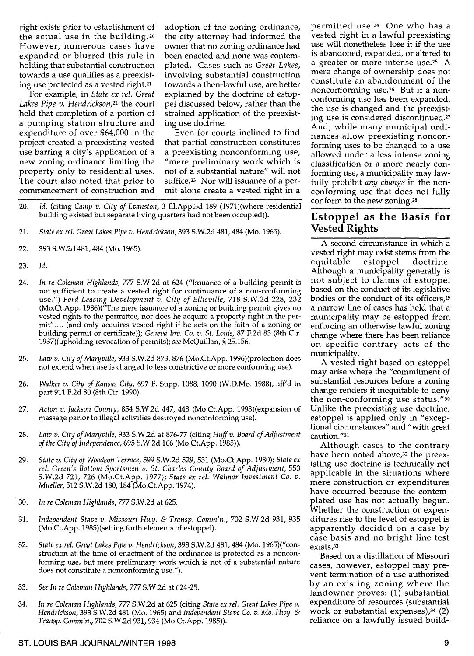right exists prior to establishment of the actual use in the building. <sup>20</sup> However, numerous cases have expanded or blurred this rule in holding that substantial construction towards a use qualifies as a preexisting use protected as a vested right.21

For example, in *State ex rel. Great Lakes Pipe v. Hendrickson,22* the court held that completion of a portion of a pumping station structure and expenditure of over \$64,000 in the project created a preexisting vested use barring a city's application of a new zoning ordinance limiting the property only to residential uses. The court also noted that prior to commencement of construction and

adoption of the zoning ordinance, the city attorney had informed the owner that no zoning ordinance had been enacted and none was contemplated. Cases such as *Great Lakes,*  involving substantial construction towards a then-lawful use, are better explained by the doctrine of estoppel discussed below, rather than the strained application of the preexisting use doctrine.

Even for courts inclined to find that partial construction constitutes a preexisting nonconforming use, "mere preliminary work which is not of a substantial nature" will not suffice.23 Nor will issuance of a permit alone create a vested right in a

- *20. Id.* (citing *Camp v. City of Evanston,* 3 Ill.App.3d 189 (1971)(where residential building existed but separate living quarters had not been occupied)).
- 21. *State ex rei. Great Lakes Pipe v. Hendrickson,* 393 S.W.2d 481, 484 (Mo. 1965).
- 22. 393 S.w.2d 481,484 (Mo. 1965).
- 23. *Id.*
- 24. *In re Coleman Highlands,* 777 S.W.2d at 624 ("Issuance of a building permit is not sufficient to create a vested right for continuance of a non-conforming use.") *Ford Leasing Development v. City of Ellisville,* 718 S.W.2d 228, 232 (Mo.Ct.App. *1986)("The* mere issuance of a zoning or building permit gives no vested rights to the permittee, nor does he acquire a property right in the permit" .... (and only acquires vested right if he acts on the faith of a zoning or building permit or certificate)); *Geneva Inv. Co. v. St. Louis,* 87 F.2d 83 (8th Cir. 1937)(upholding revocation of permits); *see* McQuillan, § 25.156.
- 25. *Law v. City of Maryville,* 933 S.W.2d 873, 876 (Mo.Ct.App. 1996)(protection does not extend when use is changed to less constrictive or more conforming use).
- 26. *Walker v. City of Kansas City,* 697 F. Supp. 1088, 1090 (W.D.Mo. 1988), aff'd in part 911 F.2d 80 (8th Cir. 1990).
- 27. *Acton v. Jackson County,* 854 S.W.2d 447, 448 (Mo.Ct.App. 1993)(expansion of massage parlor to illegal activities destroyed nonconforming use).
- 28. *Law v. City of Maryville,* 933 S.W.2d at 876-77 (citing *Huff v. Board of Adjustment of the City of Independence,* 695 S.w.2d 166 (Mo.Ct.App. 1985)).
- 29. *State v. City of Woodson Terrace,* 599 S.W.2d 529, 531 (Mo.Ct.App. 1980); *State ex rei. Green's Bottom Sportsmen v. St. Charles County Board of Adjustment, 553*  S.W.2d 721, 726 (Mo.Ct.App. 1977); *State ex rei. Walmar Investment Co. v. Mueller,* 512 S.w.2d 180, 184 (Mo.Ct.App. 1974).
- 30. *In re Coleman Highlands,* 777 S.w.2d at 625.
- 31. *Independent Stave v. Missouri Hwy.* & *Transp. Comm'n.,* 702 S.W.2d 931, 935 (Mo.Ct.App. 1985)(setting forth elements of estoppel).
- 32. *State ex rei. Great Lakes Pipe v. Hendrickson,* 393 S.w.2d 481, 484 (Mo. 1965)("construction at the time of enactment of the ordinance is protected as a nonconforming use, but mere preliminary work which is not of a substantial nature does not constitute a nonconforming use.").
- 33. *See In re Coleman Highlands,* 777 S.W.2d at 624-25.
- 34. *In re Coleman Highlands,* 777 S.W.2d at 625 (citing *State ex rei. Great Lakes Pipe v. Hendrickson,* 393 S.W.2d 481 (Mo. 1965) and *Independent Stave Co. v. Mo. Hwy.* & *Transp. Comm'n.,* 702 S.W.2d 931,934 (Mo.Ct.App. 1985)).

permitted use. 24 One who has a vested right in a lawful preexisting use will nonetheless lose it if the use is abandoned, expanded, or altered to a greater or more intense use.<sup>25</sup> A mere change of ownership does not constitute an abandonment of the nonconforming use.<sup>26</sup> But if a nonconforming use has been expanded, the use is changed and the preexisting use is considered discontinued.27 And, while many municipal ordinances allow preexisting nonconforming uses to be changed to a use allowed under a less intense zoning classification or a more nearly conforming use, a municipality may lawfully prohibit *any change* in the nonconforming use that does not fully conform to the new zoning.28

### Estoppel as the Basis for Vested Rights

A second circumstance in which a vested right may exist stems from the equitable estoppel doctrine. Although a municipality generally is not subject to claims of estoppel based on the conduct of its legislative bodies or the conduct of its officers,29 a narrow line of cases has held that a municipality may be estopped from enforcing an otherwise lawful zoning change where there has been reliance on specific contrary acts of the municipality.

A vested right based on estoppel may arise where the "commitment of substantial resources before a zoning change renders it inequitable to deny the non-conforming use status."30 Unlike the preexisting use doctrine, estoppel is applied only in "exceptional circumstances" and "with great caution."31

Although cases to the contrary have been noted above,<sup>32</sup> the preexisting use doctrine is technically not applicable in the situations where mere construction or expenditures have occurred because the contemplated use has not actually begun. Whether the construction or expenditures rise to the level of estoppel is apparently decided on a case by case basis and no bright line test exists.33

Based on a distillation of Missouri cases, however, estoppel may prevent termination of a use authorized by an existing zoning where the landowner proves: (1) substantial expenditure of resources (substantial work or substantial expenses),34 (2) reliance on a lawfully issued build-

#### ST. LOUIS BAR JOURNAL/WINTER 1998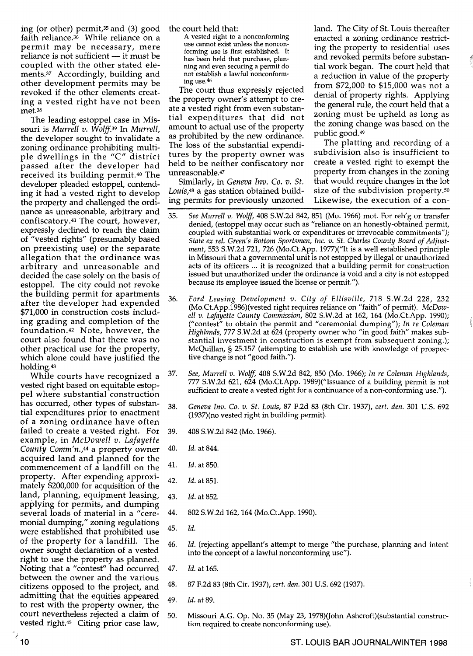ing (or other) permit,35 and (3) good faith reliance.36 While reliance on a permit may be necessary, mere  $reliance$  is not sufficient  $-$  it must be coupled with the other stated elements.37 Accordingly, building and other development permits may be revoked if the other elements creating a vested right have not been met.<sup>38</sup>

The leading estoppel case in Missouri is *Murrell v. Wolff39* In *Murrell,*  the developer sought to invalidate a zoning ordinance prohibiting multiple dwellings in the "C" district passed after the developer had received its building permit.40 The developer pleaded estoppel, contending it had a vested right to develop the property and challenged the ordi- ing permits for previously unzoned nance as unreasonable, arbitrary and nance as unreasonable, arbitrary and 35.<br>confiscatory.<sup>41</sup> The court, however, expressly declined to reach the claim of "vested rights" (presumably based on preexisting use) or the separate allegation that the ordinance was arbitrary and unreasonable and decided the case solely on the basis of estoppel. The city could not revoke the building permit for apartments after the developer had expended 36. \$71,000 in construction costs including grading and completion of the foundation. 42 Note, however, the court also found that there was no other practical use for the property, which alone could have justified the holding.43

While courts have recognized a 37. vested right based on equitable estoppel where substantial construction has occurred, other types of substan-  $_{38}$ . tial expenditures prior to enactment of a zoning ordinance have often failed to create a vested right. For 39. example, in *McDowell v. Lafayette County Comm'n.,44* a property owner 40. acquired land and planned for the commencement of a landfill on the  $41$ . property. After expending approxiproperty: After expending approxi-<br>mately \$200,000 for acquisition of the land, planning, equipment leasing, 43. applying for permits, and dumping several loads of material in a "cere- 44. monial dumping," zoning regulations were established that prohibited use 45. of the property for a landfill. The  $_{46.}$ owner sought declaration of a vested right to use the property as planned. Noting that a "contest" had occurred 47. between the owner and the various citizens opposed to the project, and  $48$ . admitting that the equities appeared admitting that the equities appeared  $\frac{49}{49}$ . court nevertheless rejected a claim of 50. vested right.45 Citing prior case law,

A vested right to a nonconforming use cannot exist unless the nonconforming use is first established. It has been held that purchase, planning and even securing a permit do not establish a lawful nonconforming use.46

The court thus expressly rejected the property owner's attempt to create a vested right from even substantial expenditures that did not amount to actual use of the property as prohibited by the new ordinance. The loss of the substantial expenditures by the property owner was held to be neither confiscatory nor unreasonable.47

Similarly, in *Geneva Inv. Co. v. St.* 

the court held that: land. The City of st. Louis thereafter enacted a zoning ordinance restricting the property to residential uses and revoked permits before substantial work began. The court held that a reduction in value of the property from \$72,000 to \$15,000 was not a denial of property rights. Applying the general rule, the court held that a zoning must be upheld as long as the zoning change was based on the public good.49

!

The platting and recording of a subdivision also is insufficient to create a vested right to exempt the property from changes in the zoning that would require changes in the lot size of the subdivision property.50 Likewise, the execution of a con-

- *See Murrell v. Wolff,* 408 S.W.2d 842, 851 (Mo. 1966) mot. For reh'g or transfer denied, (estoppel may occur such as "reliance on an honestly-obtained permit, coupled with substantial work or expenditures or irrevocable commitments"); State ex rel. Green's Bottom Sportsmen, Inc. v. St. Charles County Board of Adjust*ment,* 553 S.W.2d 721, 726 (Mo.Ct.App. 1977)("It is a well established principle in Missouri that a governmental unit is not estopped by illegal or unauthorized acts of its officers ... it is recognized that a building permit for construction issued but unauthorized under the ordinance is void and a city is not estopped because its employee issued the license or permit.").
- *Ford Leasing Development v. City of Ellisville,* 718 S.W.2d 228, 232 (Mo.Ct.App.1986)(vested right requires reliance on "faith" of permit). *McDowell v. Lafayette County Commission,* 802 S.w.2d at 162, 164 (Mo.Ct.App. 1990); ("contest" to obtain the permit and "ceremonial dumping"); *In re Coleman Highlands,* 777 S.W.2d at 624 (property owner who "in good faith" makes substantial investment in construction is exempt from subsequent zoning.); McQuillan, § 25.157 (attempting to establish use with knowledge of prospective change is not "good faith.").
- *See, Murrell v. Wolff,* 408 S.W.2d 842, 850 (Mo. 1966); *In re Coleman Highlands,*  777 S.W.2d 621, 624 (Mo.Ct.App. 1989)("Issuance of a building permit is not sufficient to create a vested right for a continuance of a non-conforming use.").
- *Geneva lnv. Co. v. St. Louis,* 87 F.2d 83 (8th Cir. 1937), *cert. den.* 301 U.s. 692 (1937)(no vested right in building permit).
- 408 S.W.2d 842 (Mo. 1966).
- *ld.* at 844.
- *ld.* at 850.
- *ld.* at 85l.
- *ld.* at 852.
- 802 S.W.2d 162, 164 (Mo.Ct.App. 1990).
- *ld.*
- *ld.* (rejecting appellant's attempt to merge "the purchase, planning and intent into the concept of a lawful nonconforming use").
- *ld.* at 165.
- 87 F.2d 83 (8th Cir. 1937), *cert. den.* 301 U.S. 692 (1937).
- *ld.* at 89.
- Missouri A.G. Op. No. 35 (May 23, 1978)(John Ashcroft)(substantial construction required to create nonconforming use).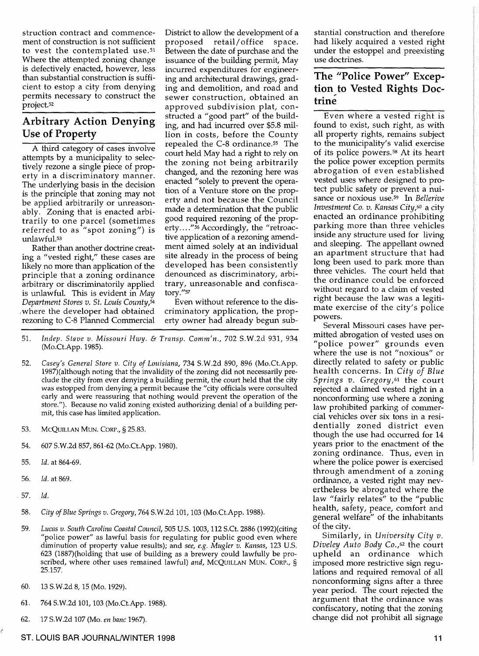struction contract and commencement of construction is not sufficient to vest the contemplated use.<sup>51</sup> Where the attempted zoning change is defectively enacted, however, less than substantial construction is sufficient to estop a city from denying permits necessary to construct the project.52

## **Arbitrary Action Denying**  Use **of Property**

A third category of cases involve attempts by a municipality to selectively rezone a single piece of property in a discriminatory manner. The underlying basis in the decision is the principle that zoning may not be applied arbitrarily or unreasonably. Zoning that is enacted arbitrarily to one parcel (sometimes referred to as "spot zoning") is unlawful.<sup>53</sup>

Rather than another doctrine creating a "vested right," these cases are likely no more than application of the principle that a zoning ordinance arbitrary or discriminatorily applied is unlawful. This is evident in *May Department Stores v. St. Louis County,54*  ,where the developer had obtained rezoning to C-8 Planned Commercial District to allow the development of a proposed retail/office space. Between the date of purchase and the issuance of the building permit, May incurred expenditures for engineering and architectural drawings, grading and demolition, and road and sewer construction, obtained an approved subdivision plat, constructed a "good part" of the building, and had incurred over \$5.8 million in costs, before the County repealed the C-8 ordinance.55 The court held May had a right to rely on the zoning not being arbitrarily changed, and the rezoning here was enacted "solely to prevent the operation of a Venture store on the property and not because the Council made a determination that the public good required rezoning of the property...."<sup>56</sup> Accordingly, the "retroactive application of a rezoning amendment aimed solely at an individual site already in the process of being developed has been consistently denounced as discriminatory, arbitrary, unreasonable and confisca*tory."5?* 

Even without reference to the discriminatory application, the property owner had already begun sub-

- *51. lndep. Stave v. Missouri Hwy.* & *Transp. Comm'n.,* 702 S.W.2d 931, 934 (Mo.Ct.App. 1985).
- *52. Casey's General Store v. City of Louisiana,* 734 S.W.2d 890, 896 (Mo.Ct.App. 1987)(although noting that the invalidity of the zoning did not necessarily preclude the city from ever denying a building permit, the court held that the city was estopped from denying a permit because the "city officials were consulted early and were reassuring that nothing would prevent the operation of the store."). Because no valid zoning existed authorizing denial of a building permit, this case has limited application.
- 53. MCQUILLAN MUN. CORP., § 25.83.
- 54. 607 S.w.2d 857, 861-62 (Mo.Ct.App. 1980).
- *55. ld.* at 864-69.
- *56. ld.* at 869.
- *.57. ld.*
- *58. City of Blue Springs v. Gregory,* 764 S.W.2d 101, 103 (Mo.Ct.App. 1988).
- *59. Lucas v. South Carolina Coastal Council,* 505 U.s. 1003, 112 S.Ct. 2886 (1992)(citing "police power" as lawful basis for regulating for public good even where diminution of property value results); and *see, e.g. Mugler v. Kansas,* 123 U.S. 623 (1887)(holding that use of building as a brewery could lawfully be proscribed, where other uses remained lawful) *and,* MCQUILLAN MUN. CORP., § 25.157.
- 60. 13 S.W.2d 8,15 (Mo. 1929).
- 61. 764 S.W.2d 101,103 (Mo.Ct.App. 1988).
- 62. 17 S.W.2d 107 (Mo. *en banc 1967).*

stantial construction and therefore had likely acquired a vested right under the estoppel and preexisting use doctrines.

## **The "Police Power"** Excep**tion to Vested Rights Doctrine**

Even where a vested right is found to exist, such right, as with all property rights, remains subject to the municipality's valid exercise of its police powers. 58 At its heart the police power exception permits abrogation of even established vested uses where designed to protect public safety or prevent a nuisance or noxious use.59 In *Bellerive Investment Co. v. Kansas City,60* a city enacted an ordinance prohibiting parking more than three vehicles inside any structure used for living and sleeping. The appellant owned an apartment structure that had long been used to park more than three vehicles. The court held that the ordinance could be enforced without regard to a claim of vested right because the law was a legitimate exercise of the city's police powers.

Several Missouri cases have permitted abrogation of vested uses on *"police* power" grounds even where the use is not "noxious" or directly related to safety or public health concerns. In *City of Blue Springs v. Gregory,61* the court rejected a claimed vested right in a nonconforming use where a zoning law prohibited parking of commercial vehicles over six tons in a residentially zoned district even though the use had occurred for 14 years prior to the enactment of the zoning ordinance. Thus, even in where the police power is exercised through amendment of a zoning ordinance, a vested right may nevertheless be abrogated where the law "fairly relates" to the "public health, safety, peace, comfort and general welfare" of the inhabitants of the city.

Similarly, in *University City v. Diveley Auto Body CO.,62* the court upheld an ordinance which imposed more restrictive sign regulations and required removal of all nonconforming signs after a three year period. The court rejected the argument that the ordinance was confiscatory, noting that the zoning change did not prohibit all signage

#### ST. **LOUIS** BAR JOURNAL/WINTER 1998